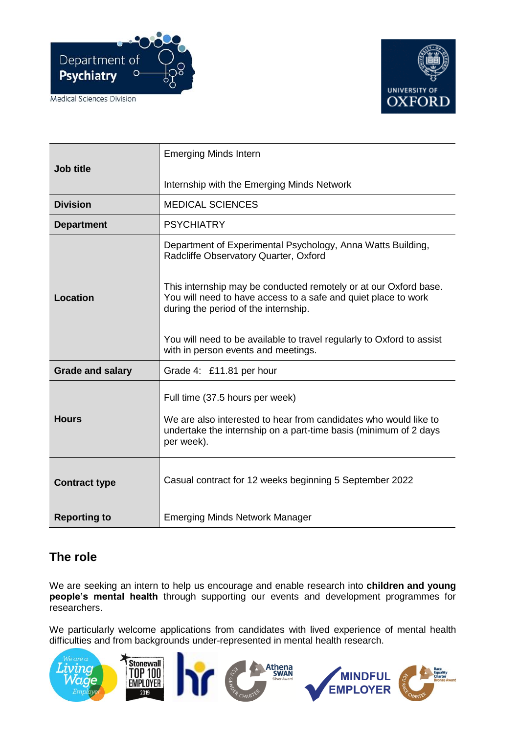





|                         | <b>Emerging Minds Intern</b>                                                                                                                                               |
|-------------------------|----------------------------------------------------------------------------------------------------------------------------------------------------------------------------|
| Job title               |                                                                                                                                                                            |
|                         | Internship with the Emerging Minds Network                                                                                                                                 |
| <b>Division</b>         | <b>MEDICAL SCIENCES</b>                                                                                                                                                    |
| <b>Department</b>       | <b>PSYCHIATRY</b>                                                                                                                                                          |
|                         | Department of Experimental Psychology, Anna Watts Building,<br>Radcliffe Observatory Quarter, Oxford                                                                       |
| <b>Location</b>         | This internship may be conducted remotely or at our Oxford base.<br>You will need to have access to a safe and quiet place to work<br>during the period of the internship. |
|                         | You will need to be available to travel regularly to Oxford to assist<br>with in person events and meetings.                                                               |
| <b>Grade and salary</b> | Grade 4: £11.81 per hour                                                                                                                                                   |
|                         | Full time (37.5 hours per week)                                                                                                                                            |
| <b>Hours</b>            | We are also interested to hear from candidates who would like to<br>undertake the internship on a part-time basis (minimum of 2 days<br>per week).                         |
| <b>Contract type</b>    | Casual contract for 12 weeks beginning 5 September 2022                                                                                                                    |
| <b>Reporting to</b>     | <b>Emerging Minds Network Manager</b>                                                                                                                                      |

# **The role**

We are seeking an intern to help us encourage and enable research into **children and young people's mental health** through supporting our events and development programmes for researchers.

We particularly welcome applications from candidates with lived experience of mental health difficulties and from backgrounds under-represented in mental health research.

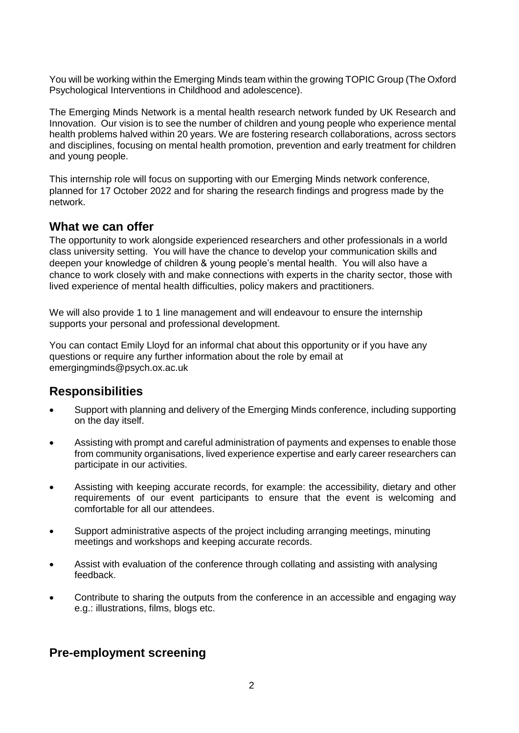You will be working within the Emerging Minds team within the growing TOPIC Group (The Oxford Psychological Interventions in Childhood and adolescence).

The Emerging Minds Network is a mental health research network funded by UK Research and Innovation. Our vision is to see the number of children and young people who experience mental health problems halved within 20 years. We are fostering research collaborations, across sectors and disciplines, focusing on mental health promotion, prevention and early treatment for children and young people.

This internship role will focus on supporting with our Emerging Minds network conference, planned for 17 October 2022 and for sharing the research findings and progress made by the network.

#### **What we can offer**

The opportunity to work alongside experienced researchers and other professionals in a world class university setting. You will have the chance to develop your communication skills and deepen your knowledge of children & young people's mental health. You will also have a chance to work closely with and make connections with experts in the charity sector, those with lived experience of mental health difficulties, policy makers and practitioners.

We will also provide 1 to 1 line management and will endeavour to ensure the internship supports your personal and professional development.

You can contact Emily Lloyd for an informal chat about this opportunity or if you have any questions or require any further information about the role by email at emergingminds@psych.ox.ac.uk

### **Responsibilities**

- Support with planning and delivery of the Emerging Minds conference, including supporting on the day itself.
- Assisting with prompt and careful administration of payments and expenses to enable those from community organisations, lived experience expertise and early career researchers can participate in our activities.
- Assisting with keeping accurate records, for example: the accessibility, dietary and other requirements of our event participants to ensure that the event is welcoming and comfortable for all our attendees.
- Support administrative aspects of the project including arranging meetings, minuting meetings and workshops and keeping accurate records.
- Assist with evaluation of the conference through collating and assisting with analysing feedback.
- Contribute to sharing the outputs from the conference in an accessible and engaging way e.g.: illustrations, films, blogs etc.

# **Pre-employment screening**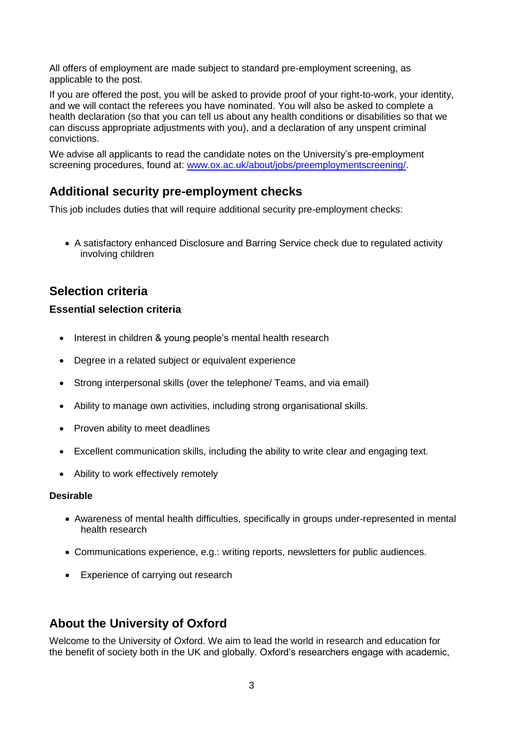All offers of employment are made subject to standard pre-employment screening, as applicable to the post.

If you are offered the post, you will be asked to provide proof of your right-to-work, your identity, and we will contact the referees you have nominated. You will also be asked to complete a health declaration (so that you can tell us about any health conditions or disabilities so that we can discuss appropriate adjustments with you), and a declaration of any unspent criminal convictions.

We advise all applicants to read the candidate notes on the University's pre-employment screening procedures, found at: [www.ox.ac.uk/about/jobs/preemploymentscreening/.](http://www.ox.ac.uk/about/jobs/preemploymentscreening/)

# **Additional security pre-employment checks**

This job includes duties that will require additional security pre-employment checks:

• A satisfactory enhanced Disclosure and Barring Service check due to regulated activity involving children

# **Selection criteria**

#### **Essential selection criteria**

- Interest in children & young people's mental health research
- Degree in a related subiect or equivalent experience
- Strong interpersonal skills (over the telephone/ Teams, and via email)
- Ability to manage own activities, including strong organisational skills.
- Proven ability to meet deadlines
- Excellent communication skills, including the ability to write clear and engaging text.
- Ability to work effectively remotely

#### **Desirable**

- Awareness of mental health difficulties, specifically in groups under-represented in mental health research
- Communications experience, e.g.: writing reports, newsletters for public audiences.
- Experience of carrying out research

# **About the University of Oxford**

Welcome to the University of Oxford. We aim to lead the world in research and education for the benefit of society both in the UK and globally. Oxford's researchers engage with academic,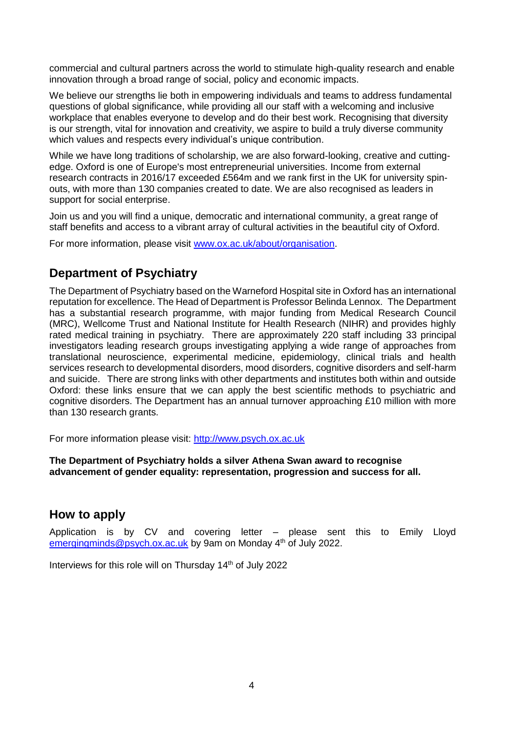commercial and cultural partners across the world to stimulate high-quality research and enable innovation through a broad range of social, policy and economic impacts.

We believe our strengths lie both in empowering individuals and teams to address fundamental questions of global significance, while providing all our staff with a welcoming and inclusive workplace that enables everyone to develop and do their best work. Recognising that diversity is our strength, vital for innovation and creativity, we aspire to build a truly diverse community which values and respects every individual's unique contribution.

While we have long traditions of scholarship, we are also forward-looking, creative and cuttingedge. Oxford is one of Europe's most entrepreneurial universities. Income from external research contracts in 2016/17 exceeded £564m and we rank first in the UK for university spinouts, with more than 130 companies created to date. We are also recognised as leaders in support for social enterprise.

Join us and you will find a unique, democratic and international community, a great range of staff benefits and access to a vibrant array of cultural activities in the beautiful city of Oxford.

For more information, please visit [www.ox.ac.uk/about/organisation.](http://www.ox.ac.uk/about/organisation)

### **Department of Psychiatry**

The Department of Psychiatry based on the Warneford Hospital site in Oxford has an international reputation for excellence. The Head of Department is Professor Belinda Lennox. The Department has a substantial research programme, with major funding from Medical Research Council (MRC), Wellcome Trust and National Institute for Health Research (NIHR) and provides highly rated medical training in psychiatry. There are approximately 220 staff including 33 principal investigators leading research groups investigating applying a wide range of approaches from translational neuroscience, experimental medicine, epidemiology, clinical trials and health services research to developmental disorders, mood disorders, cognitive disorders and self-harm and suicide. There are strong links with other departments and institutes both within and outside Oxford: these links ensure that we can apply the best scientific methods to psychiatric and cognitive disorders. The Department has an annual turnover approaching £10 million with more than 130 research grants.

For more information please visit: [http://www.psych.ox.ac.uk](http://www.psych.ox.ac.uk/)

#### **The Department of Psychiatry holds a silver Athena Swan award to recognise advancement of gender equality: representation, progression and success for all.**

#### **How to apply**

Application is by CV and covering letter – please sent this to Emily Lloyd [emergingminds@psych.ox.ac.uk](mailto:emergingminds@psych.ox.ac.uk) by 9am on Monday 4<sup>th</sup> of July 2022.

Interviews for this role will on Thursday 14<sup>th</sup> of July 2022